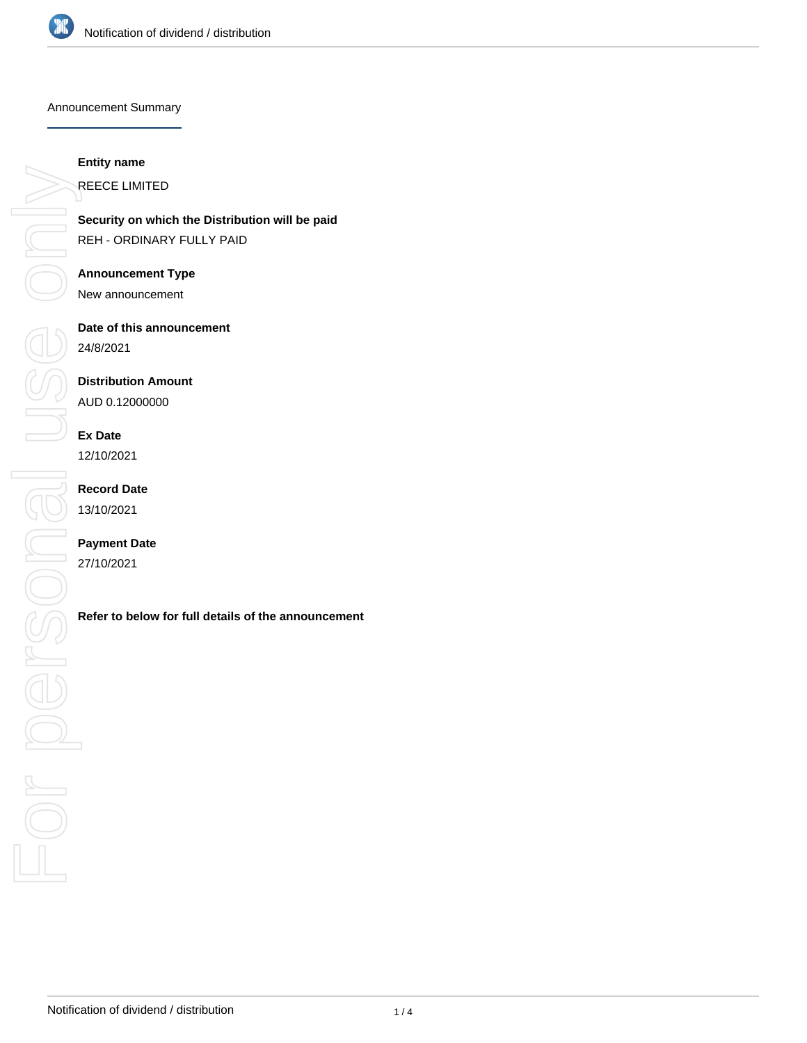

Announcement Summary

#### **Entity name**

**Security on which the Distribution will be paid** REH - ORDINARY FULLY PAID

# **Announcement Type**

New announcement

# **Date of this announcement**

24/8/2021

# **Distribution Amount**

AUD 0.12000000

# **Ex Date**

12/10/2021

# **Record Date** 13/10/2021

# **Payment Date**

27/10/2021

REECE LIMITED<br>
Security on which<br>
REH - ORDINAR<br>
Announcement<br>
New announcement Date of this announcement<br>
24/8/2021<br> **Refer to below for full details of the announcement**<br> **Refer to below for full details of the announcement**<br> **Refer to below for full details of the announcement**<br>
<br>
<br>
<br>
<br>
<br>
<br>
<br>
<br>
<br>
<br>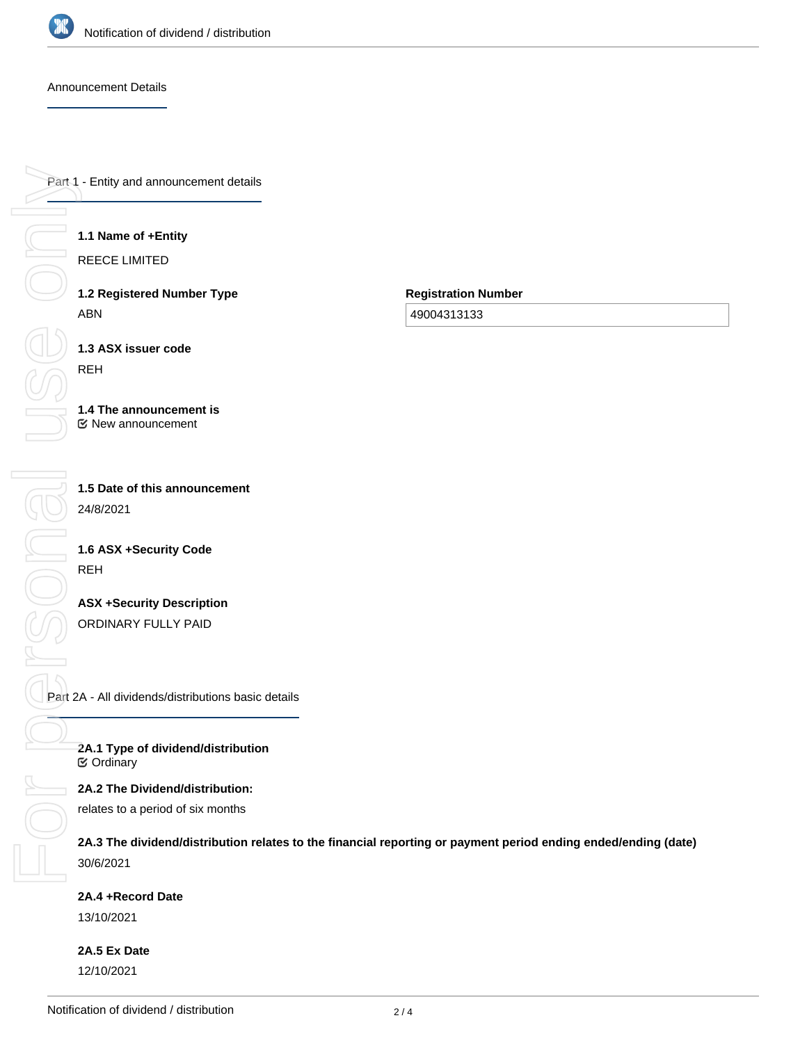

Announcement Details

Part 1 - Entity and announcement details

#### **1.1 Name of +Entity**

REECE LIMITED

**1.2 Registered Number Type** ABN

**Registration Number**

49004313133

**1.3 ASX issuer code**

#### **1.4 The announcement is** New announcement

**1.5 Date of this announcement** 24/8/2021

# **1.6 ASX +Security Code** REH

**ASX +Security Description** ORDINARY FULLY PAID

Part 2A - All dividends/distributions basic details

**2A.1 Type of dividend/distribution** Ordinary

### **2A.2 The Dividend/distribution:**

relates to a period of six months

**2A.3 The dividend/distribution relates to the financial reporting or payment period ending ended/ending (date)** 30/6/2021

#### **2A.4 +Record Date**

13/10/2021

**2A.5 Ex Date** 12/10/2021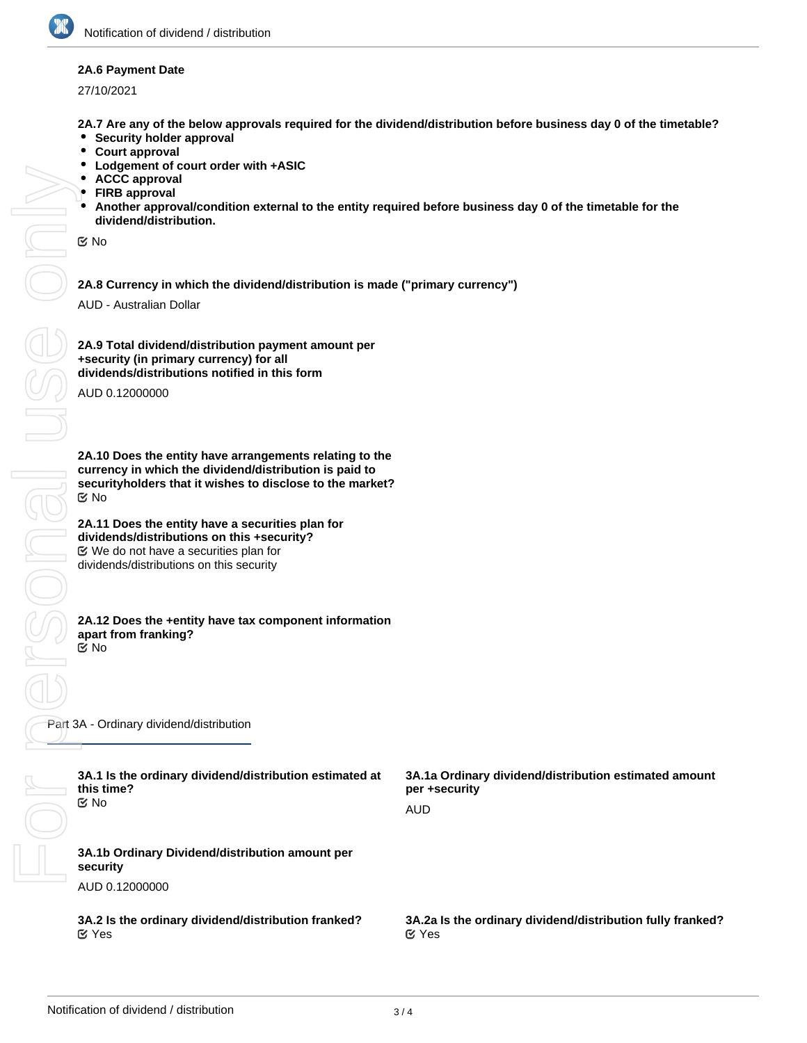#### **2A.6 Payment Date**

27/10/2021

**2A.7 Are any of the below approvals required for the dividend/distribution before business day 0 of the timetable?**

- $\bullet$ **Security holder approval**
- $\bullet$ **Court approval**
- $\bullet$ **Lodgement of court order with +ASIC**
- **ACCC approval**
- **FIRB approval**
- **Another approval/condition external to the entity required before business day 0 of the timetable for the dividend/distribution.**

No

**2A.8 Currency in which the dividend/distribution is made ("primary currency")**

AUD - Australian Dollar

FORSONAL USE ONN **SOLU SONG**  $\frac{1}{\sqrt{2}}$ 

**2A.9 Total dividend/distribution payment amount per +security (in primary currency) for all dividends/distributions notified in this form**

AUD 0.12000000

**2A.10 Does the entity have arrangements relating to the currency in which the dividend/distribution is paid to securityholders that it wishes to disclose to the market?** No

**2A.11 Does the entity have a securities plan for dividends/distributions on this +security?** We do not have a securities plan for dividends/distributions on this security

#### **2A.12 Does the +entity have tax component information apart from franking?** No

Part 3A - Ordinary dividend/distribution

| 3A.1 Is the ordinary dividend/distribution estimated at<br>this time?<br>় No | 3A.1a Ordinary dividend/distribution estimated amount<br>per +security     |
|-------------------------------------------------------------------------------|----------------------------------------------------------------------------|
|                                                                               | AUD                                                                        |
| 3A.1b Ordinary Dividend/distribution amount per<br>security                   |                                                                            |
| AUD 0.12000000                                                                |                                                                            |
| 3A.2 Is the ordinary dividend/distribution franked?<br>$\mathfrak{C}$ Yes     | 3A.2a Is the ordinary dividend/distribution fully franked?<br>$\alpha$ Yes |